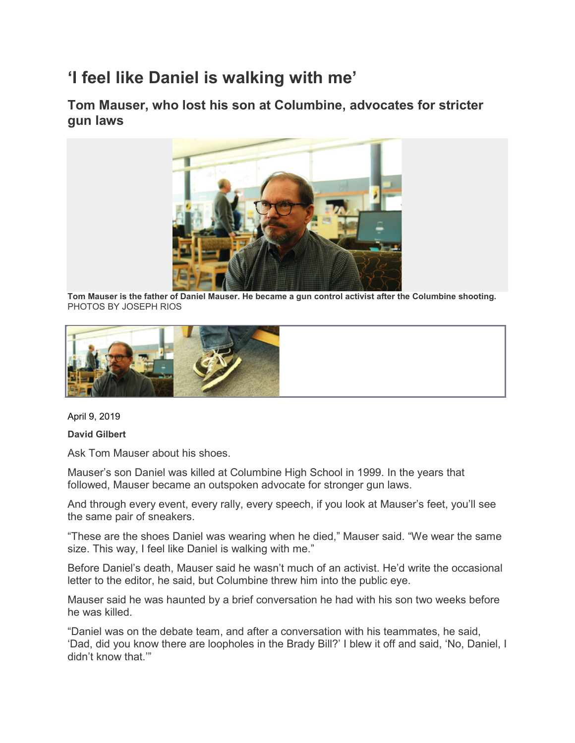## **'I feel like Daniel is walking with me'**

**Tom Mauser, who lost his son at Columbine, advocates for stricter gun laws**



**Tom Mauser is the father of Daniel Mauser. He became a gun control activist after the Columbine shooting.** PHOTOS BY JOSEPH RIOS



April 9, 2019

**David Gilbert**

Ask Tom Mauser about his shoes.

Mauser's son Daniel was killed at Columbine High School in 1999. In the years that followed, Mauser became an outspoken advocate for stronger gun laws.

And through every event, every rally, every speech, if you look at Mauser's feet, you'll see the same pair of sneakers.

"These are the shoes Daniel was wearing when he died," Mauser said. "We wear the same size. This way, I feel like Daniel is walking with me."

Before Daniel's death, Mauser said he wasn't much of an activist. He'd write the occasional letter to the editor, he said, but Columbine threw him into the public eye.

Mauser said he was haunted by a brief conversation he had with his son two weeks before he was killed.

"Daniel was on the debate team, and after a conversation with his teammates, he said, 'Dad, did you know there are loopholes in the Brady Bill?' I blew it off and said, 'No, Daniel, I didn't know that.'"